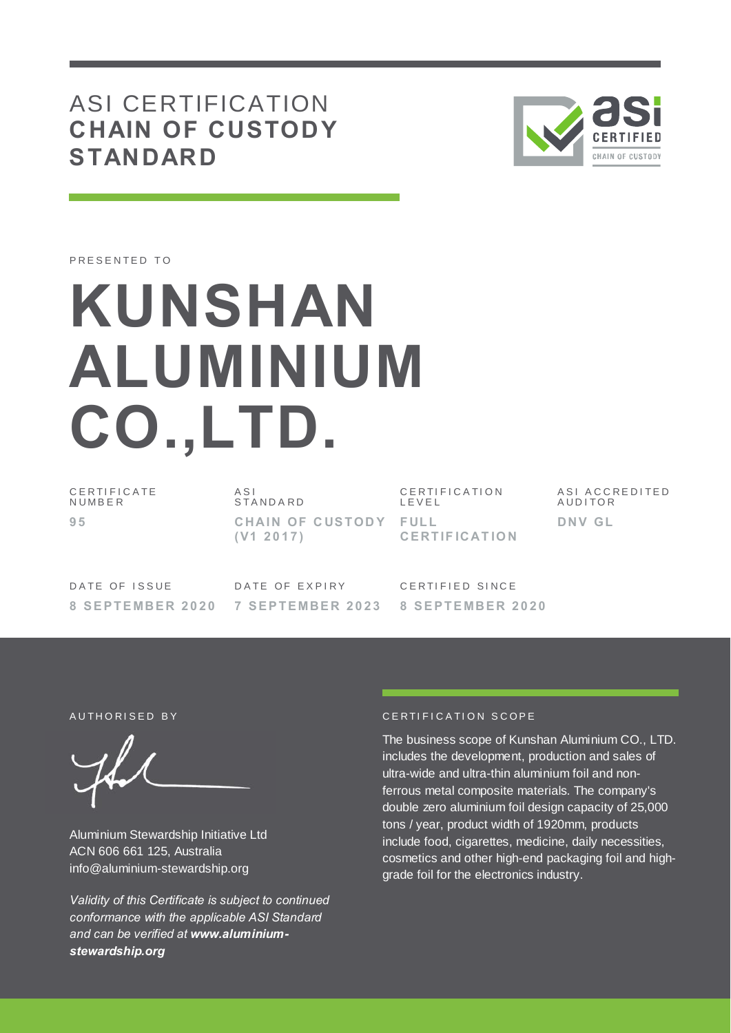# ASI CERTIFICATION **CHAIN OF CUSTODY STANDARD**



PRESENTED TO

# **KUNSHAN ALUMINIUM CO.,LTD.**

C E R T I F I C A T E **NUMBER 9 5**

A S I S T A N D A R D **CHAIN OF CUSTODY FULL ( V1 2 0 1 7 )**

C E R T I F I C A T I O N L E V E L **CE RT IF ICAT IO N**

A S I A C C R E D I T E D **AUDITOR DNV GL**

DATE OF ISSUE **8 S E P T E MBE R 2 0 2 0**

DATE OF EXPIRY **7 S E P T E MBE R 2 0 2 3** CERTIFIED SINCE **8 S E P T E MBE R 2 0 2 0**

Aluminium Stewardship Initiative Ltd ACN 606 661 125, Australia info@aluminium-stewardship.org

*Validity of this Certificate is subject to continued conformance with the applicable ASI Standard and can be verified at www.aluminiumstewardship.org*

### AUTHORISED BY CERTIFICATION SCOPE

The business scope of Kunshan Aluminium CO., LTD. includes the development, production and sales of ultra-wide and ultra-thin aluminium foil and nonferrous metal composite materials. The company's double zero aluminium foil design capacity of 25,000 tons / year, product width of 1920mm, products include food, cigarettes, medicine, daily necessities, cosmetics and other high-end packaging foil and highgrade foil for the electronics industry.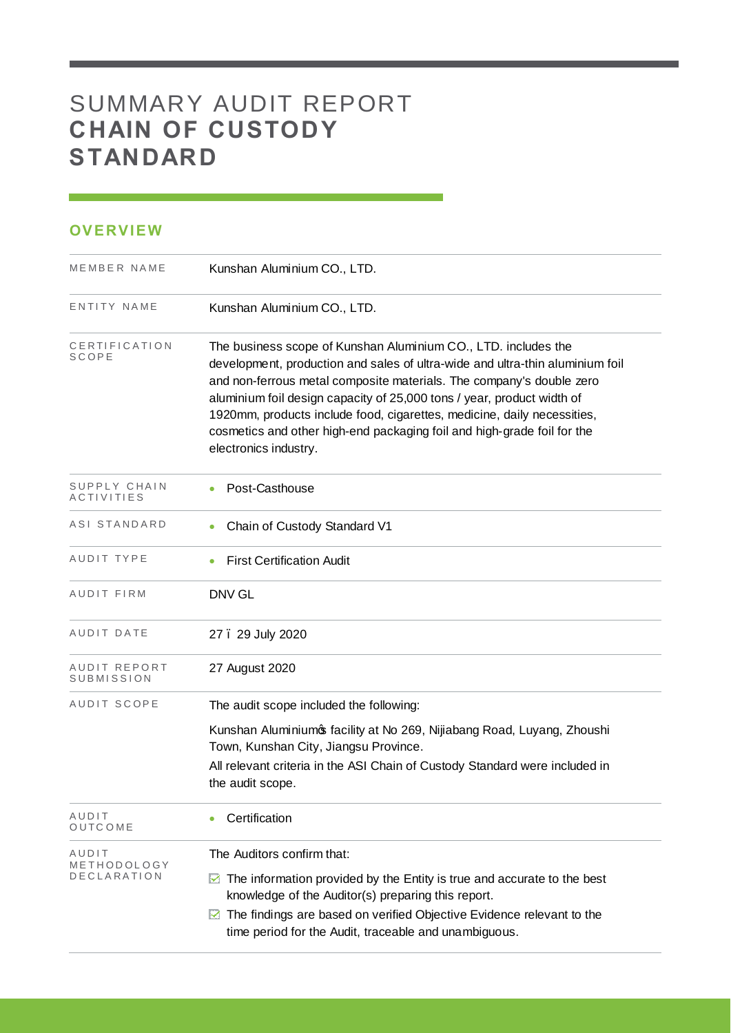# SUMMARY AUDIT REPORT **CHAIN OF CUSTODY STANDARD**

## **OVERVIEW**

| MEMBER NAME                | Kunshan Aluminium CO., LTD.                                                                                                                                                                                                                                                                                                                                                                                                                                                      |
|----------------------------|----------------------------------------------------------------------------------------------------------------------------------------------------------------------------------------------------------------------------------------------------------------------------------------------------------------------------------------------------------------------------------------------------------------------------------------------------------------------------------|
| ENTITY NAME                | Kunshan Aluminium CO., LTD.                                                                                                                                                                                                                                                                                                                                                                                                                                                      |
| CERTIFICATION<br>SCOPE     | The business scope of Kunshan Aluminium CO., LTD. includes the<br>development, production and sales of ultra-wide and ultra-thin aluminium foil<br>and non-ferrous metal composite materials. The company's double zero<br>aluminium foil design capacity of 25,000 tons / year, product width of<br>1920mm, products include food, cigarettes, medicine, daily necessities,<br>cosmetics and other high-end packaging foil and high-grade foil for the<br>electronics industry. |
| SUPPLY CHAIN<br>ACTIVITIES | Post-Casthouse                                                                                                                                                                                                                                                                                                                                                                                                                                                                   |
| ASI STANDARD               | Chain of Custody Standard V1                                                                                                                                                                                                                                                                                                                                                                                                                                                     |
| AUDIT TYPE                 | <b>First Certification Audit</b>                                                                                                                                                                                                                                                                                                                                                                                                                                                 |
| AUDIT FIRM                 | <b>DNV GL</b>                                                                                                                                                                                                                                                                                                                                                                                                                                                                    |
| AUDIT DATE                 | 27. 29 July 2020                                                                                                                                                                                                                                                                                                                                                                                                                                                                 |
| AUDIT REPORT<br>SUBMISSION | 27 August 2020                                                                                                                                                                                                                                                                                                                                                                                                                                                                   |
| AUDIT SCOPE                | The audit scope included the following:                                                                                                                                                                                                                                                                                                                                                                                                                                          |
|                            | Kunshan Aluminiumos facility at No 269, Nijiabang Road, Luyang, Zhoushi<br>Town, Kunshan City, Jiangsu Province.                                                                                                                                                                                                                                                                                                                                                                 |
|                            | All relevant criteria in the ASI Chain of Custody Standard were included in<br>the audit scope.                                                                                                                                                                                                                                                                                                                                                                                  |
| AUDIT<br>OUTCOME           | Certification                                                                                                                                                                                                                                                                                                                                                                                                                                                                    |
| AUDIT<br>METHODOLOGY       | The Auditors confirm that:                                                                                                                                                                                                                                                                                                                                                                                                                                                       |
| <b>DECLARATION</b>         | The information provided by the Entity is true and accurate to the best<br>M<br>knowledge of the Auditor(s) preparing this report.                                                                                                                                                                                                                                                                                                                                               |
|                            | The findings are based on verified Objective Evidence relevant to the<br>M<br>time period for the Audit, traceable and unambiguous.                                                                                                                                                                                                                                                                                                                                              |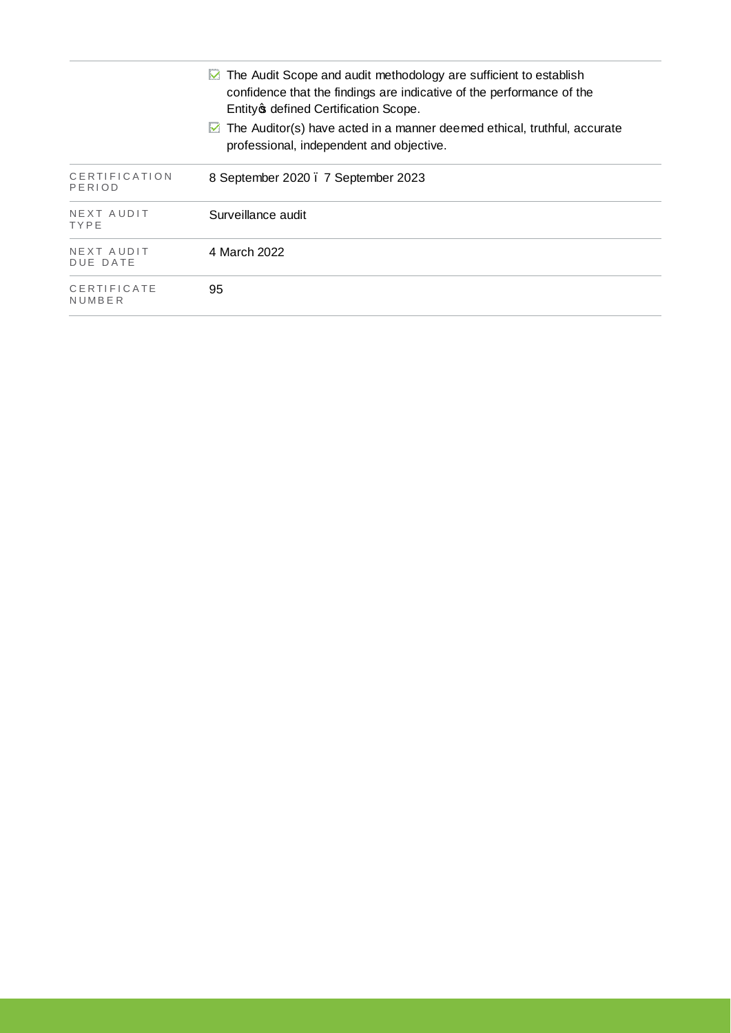|                           | $\boxtimes$ The Audit Scope and audit methodology are sufficient to establish<br>confidence that the findings are indicative of the performance of the<br>Entity of defined Certification Scope. |
|---------------------------|--------------------------------------------------------------------------------------------------------------------------------------------------------------------------------------------------|
|                           | $\triangleright$ The Auditor(s) have acted in a manner deemed ethical, truthful, accurate<br>professional, independent and objective.                                                            |
| CERTIFICATION<br>PERIOD   | 8 September 2020 . 7 September 2023                                                                                                                                                              |
| NEXT AUDIT<br><b>TYPE</b> | Surveillance audit                                                                                                                                                                               |
| NEXT AUDIT<br>DUE DATE    | 4 March 2022                                                                                                                                                                                     |
| CERTIFICATE<br>NUMBER     | 95                                                                                                                                                                                               |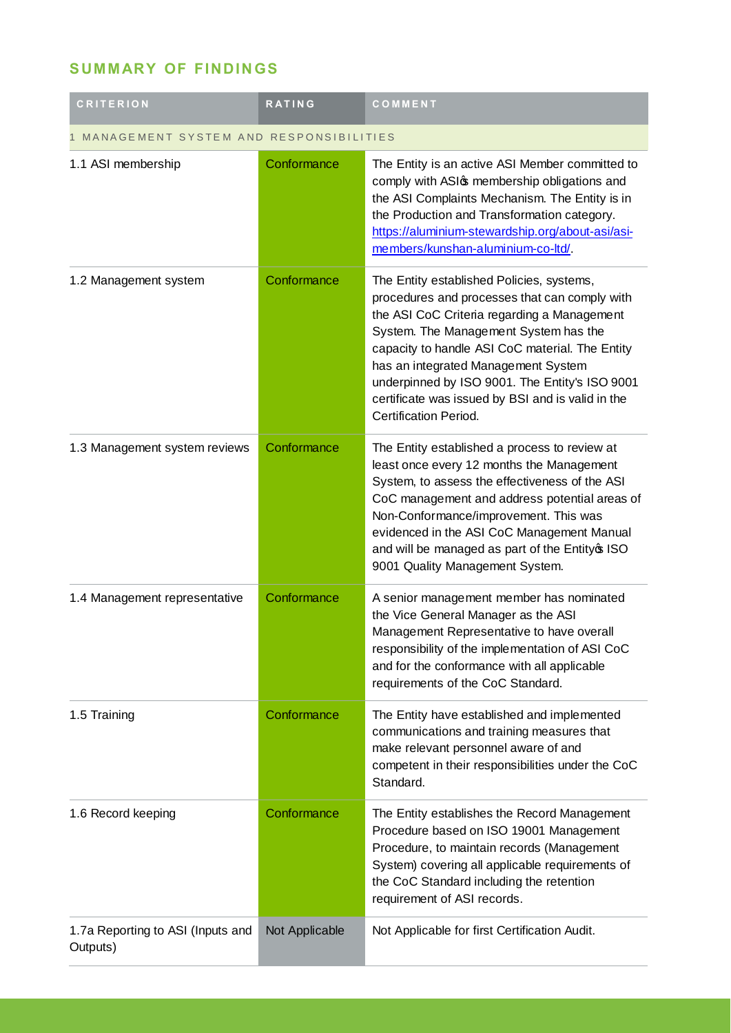## **SUMMARY OF FINDINGS**

| <b>CRITERION</b>                              | <b>RATING</b>  | COMMENT                                                                                                                                                                                                                                                                                                                                                                                                             |  |
|-----------------------------------------------|----------------|---------------------------------------------------------------------------------------------------------------------------------------------------------------------------------------------------------------------------------------------------------------------------------------------------------------------------------------------------------------------------------------------------------------------|--|
| MANAGEMENT SYSTEM AND RESPONSIBILITIES        |                |                                                                                                                                                                                                                                                                                                                                                                                                                     |  |
| 1.1 ASI membership                            | Conformance    | The Entity is an active ASI Member committed to<br>comply with ASI membership obligations and<br>the ASI Complaints Mechanism. The Entity is in<br>the Production and Transformation category.<br>https://aluminium-stewardship.org/about-asi/asi-<br>members/kunshan-aluminium-co-ltd/                                                                                                                             |  |
| 1.2 Management system                         | Conformance    | The Entity established Policies, systems,<br>procedures and processes that can comply with<br>the ASI CoC Criteria regarding a Management<br>System. The Management System has the<br>capacity to handle ASI CoC material. The Entity<br>has an integrated Management System<br>underpinned by ISO 9001. The Entity's ISO 9001<br>certificate was issued by BSI and is valid in the<br><b>Certification Period.</b> |  |
| 1.3 Management system reviews                 | Conformance    | The Entity established a process to review at<br>least once every 12 months the Management<br>System, to assess the effectiveness of the ASI<br>CoC management and address potential areas of<br>Non-Conformance/improvement. This was<br>evidenced in the ASI CoC Management Manual<br>and will be managed as part of the Entityos ISO<br>9001 Quality Management System.                                          |  |
| 1.4 Management representative                 | Conformance    | A senior management member has nominated<br>the Vice General Manager as the ASI<br>Management Representative to have overall<br>responsibility of the implementation of ASI CoC<br>and for the conformance with all applicable<br>requirements of the CoC Standard.                                                                                                                                                 |  |
| 1.5 Training                                  | Conformance    | The Entity have established and implemented<br>communications and training measures that<br>make relevant personnel aware of and<br>competent in their responsibilities under the CoC<br>Standard.                                                                                                                                                                                                                  |  |
| 1.6 Record keeping                            | Conformance    | The Entity establishes the Record Management<br>Procedure based on ISO 19001 Management<br>Procedure, to maintain records (Management<br>System) covering all applicable requirements of<br>the CoC Standard including the retention<br>requirement of ASI records.                                                                                                                                                 |  |
| 1.7a Reporting to ASI (Inputs and<br>Outputs) | Not Applicable | Not Applicable for first Certification Audit.                                                                                                                                                                                                                                                                                                                                                                       |  |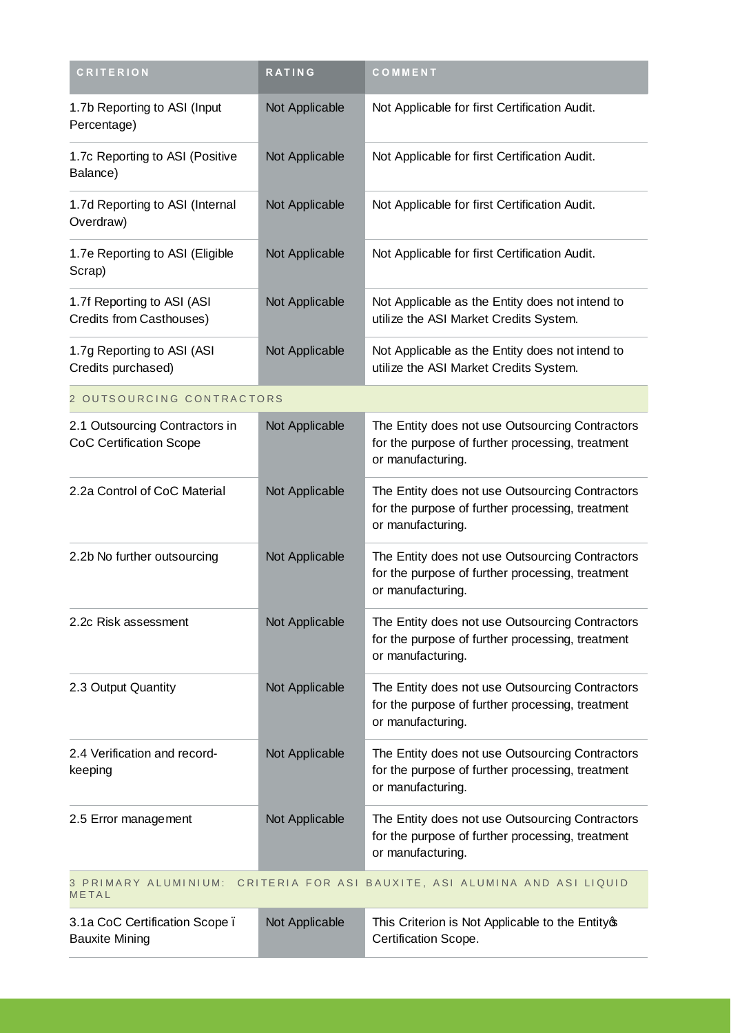| <b>CRITERION</b>                                                                   | <b>RATING</b>  | COMMENT                                                                                                                  |  |
|------------------------------------------------------------------------------------|----------------|--------------------------------------------------------------------------------------------------------------------------|--|
| 1.7b Reporting to ASI (Input<br>Percentage)                                        | Not Applicable | Not Applicable for first Certification Audit.                                                                            |  |
| 1.7c Reporting to ASI (Positive<br>Balance)                                        | Not Applicable | Not Applicable for first Certification Audit.                                                                            |  |
| 1.7d Reporting to ASI (Internal<br>Overdraw)                                       | Not Applicable | Not Applicable for first Certification Audit.                                                                            |  |
| 1.7e Reporting to ASI (Eligible<br>Scrap)                                          | Not Applicable | Not Applicable for first Certification Audit.                                                                            |  |
| 1.7f Reporting to ASI (ASI<br>Credits from Casthouses)                             | Not Applicable | Not Applicable as the Entity does not intend to<br>utilize the ASI Market Credits System.                                |  |
| 1.7g Reporting to ASI (ASI<br>Credits purchased)                                   | Not Applicable | Not Applicable as the Entity does not intend to<br>utilize the ASI Market Credits System.                                |  |
| 2 OUTSOURCING CONTRACTORS                                                          |                |                                                                                                                          |  |
| 2.1 Outsourcing Contractors in<br><b>CoC Certification Scope</b>                   | Not Applicable | The Entity does not use Outsourcing Contractors<br>for the purpose of further processing, treatment<br>or manufacturing. |  |
| 2.2a Control of CoC Material                                                       | Not Applicable | The Entity does not use Outsourcing Contractors<br>for the purpose of further processing, treatment<br>or manufacturing. |  |
| 2.2b No further outsourcing                                                        | Not Applicable | The Entity does not use Outsourcing Contractors<br>for the purpose of further processing, treatment<br>or manufacturing. |  |
| 2.2c Risk assessment                                                               | Not Applicable | The Entity does not use Outsourcing Contractors<br>for the purpose of further processing, treatment<br>or manufacturing. |  |
| 2.3 Output Quantity                                                                | Not Applicable | The Entity does not use Outsourcing Contractors<br>for the purpose of further processing, treatment<br>or manufacturing. |  |
| 2.4 Verification and record-<br>keeping                                            | Not Applicable | The Entity does not use Outsourcing Contractors<br>for the purpose of further processing, treatment<br>or manufacturing. |  |
| 2.5 Error management                                                               | Not Applicable | The Entity does not use Outsourcing Contractors<br>for the purpose of further processing, treatment<br>or manufacturing. |  |
| 3 PRIMARY ALUMINIUM: CRITERIA FOR ASI BAUXITE, ASI ALUMINA AND ASI LIQUID<br>METAL |                |                                                                                                                          |  |
| 3.1a CoC Certification Scope.<br><b>Bauxite Mining</b>                             | Not Applicable | This Criterion is Not Applicable to the Entityop<br>Certification Scope.                                                 |  |

**College**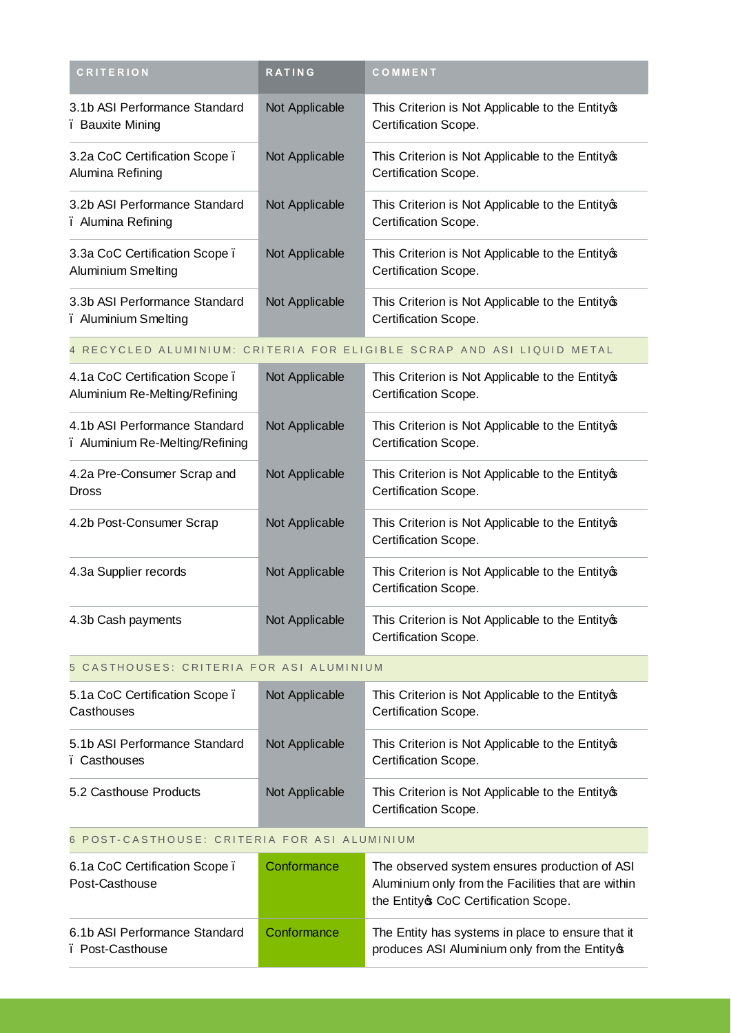| <b>CRITERION</b>                                      | <b>RATING</b>  | COMMENT                                                                   |
|-------------------------------------------------------|----------------|---------------------------------------------------------------------------|
| 3.1b ASI Performance Standard<br>. Bauxite Mining     | Not Applicable | This Criterion is Not Applicable to the Entityos<br>Certification Scope.  |
| 3.2a CoC Certification Scope.<br>Alumina Refining     | Not Applicable | This Criterion is Not Applicable to the Entity of<br>Certification Scope. |
| 3.2b ASI Performance Standard<br>. Alumina Refining   | Not Applicable | This Criterion is Not Applicable to the Entitycs<br>Certification Scope.  |
| 3.3a CoC Certification Scope.<br>Aluminium Smelting   | Not Applicable | This Criterion is Not Applicable to the Entityos<br>Certification Scope.  |
| 3.3b ASI Performance Standard<br>. Aluminium Smelting | Not Applicable | This Criterion is Not Applicable to the Entity op<br>Certification Scope. |

### 4 RECYCLED ALUMINIUM: CRITERIA FOR ELIGIBLE SCRAP AND ASI LIQUID METAL

| 4.1a CoC Certification Scope.<br>Aluminium Re-Melting/Refining   | Not Applicable | This Criterion is Not Applicable to the Entityos<br>Certification Scope.   |
|------------------------------------------------------------------|----------------|----------------------------------------------------------------------------|
| 4.1b ASI Performance Standard<br>. Aluminium Re-Melting/Refining | Not Applicable | This Criterion is Not Applicable to the Entity op-<br>Certification Scope. |
| 4.2a Pre-Consumer Scrap and<br><b>Dross</b>                      | Not Applicable | This Criterion is Not Applicable to the Entity op-<br>Certification Scope. |
| 4.2b Post-Consumer Scrap                                         | Not Applicable | This Criterion is Not Applicable to the Entity op-<br>Certification Scope. |
| 4.3a Supplier records                                            | Not Applicable | This Criterion is Not Applicable to the Entity op-<br>Certification Scope. |
| 4.3b Cash payments                                               | Not Applicable | This Criterion is Not Applicable to the Entity of<br>Certification Scope.  |

#### 5 CASTHOUSES: CRITERIA FOR ASI ALUMINIUM

| 5.1a CoC Certification Scope.<br>Casthouses   | Not Applicable | This Criterion is Not Applicable to the Entitycs<br>Certification Scope.  |
|-----------------------------------------------|----------------|---------------------------------------------------------------------------|
| 5.1b ASI Performance Standard<br>. Casthouses | Not Applicable | This Criterion is Not Applicable to the Entity of<br>Certification Scope. |
| 5.2 Casthouse Products                        | Not Applicable | This Criterion is Not Applicable to the Entity of<br>Certification Scope. |

## 6 POST-CASTHOUSE: CRITERIA FOR ASI ALUMINIUM

| 6.1a CoC Certification Scope.<br>Post-Casthouse   | Conformance | The observed system ensures production of ASI<br>Aluminium only from the Facilities that are within<br>the Entity of CoC Certification Scope. |
|---------------------------------------------------|-------------|-----------------------------------------------------------------------------------------------------------------------------------------------|
| 6.1b ASI Performance Standard<br>. Post-Casthouse | Conformance | The Entity has systems in place to ensure that it<br>produces ASI Aluminium only from the Entity®                                             |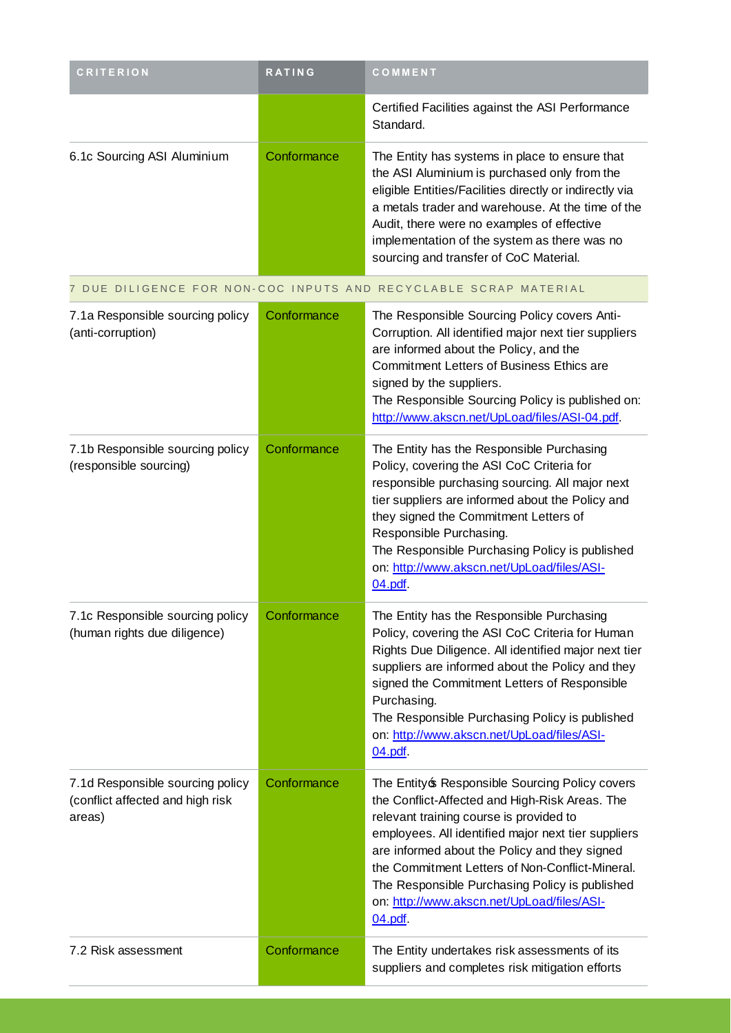| <b>CRITERION</b>                                                               | <b>RATING</b> | <b>COMMENT</b>                                                                                                                                                                                                                                                                                                                                                                                                    |
|--------------------------------------------------------------------------------|---------------|-------------------------------------------------------------------------------------------------------------------------------------------------------------------------------------------------------------------------------------------------------------------------------------------------------------------------------------------------------------------------------------------------------------------|
|                                                                                |               | Certified Facilities against the ASI Performance<br>Standard.                                                                                                                                                                                                                                                                                                                                                     |
| 6.1c Sourcing ASI Aluminium                                                    | Conformance   | The Entity has systems in place to ensure that<br>the ASI Aluminium is purchased only from the<br>eligible Entities/Facilities directly or indirectly via<br>a metals trader and warehouse. At the time of the<br>Audit, there were no examples of effective<br>implementation of the system as there was no<br>sourcing and transfer of CoC Material.                                                            |
|                                                                                |               | 7 DUE DILIGENCE FOR NON-COC INPUTS AND RECYCLABLE SCRAP MATERIAL                                                                                                                                                                                                                                                                                                                                                  |
| 7.1a Responsible sourcing policy<br>(anti-corruption)                          | Conformance   | The Responsible Sourcing Policy covers Anti-<br>Corruption. All identified major next tier suppliers<br>are informed about the Policy, and the<br><b>Commitment Letters of Business Ethics are</b><br>signed by the suppliers.<br>The Responsible Sourcing Policy is published on:<br>http://www.akscn.net/UpLoad/files/ASI-04.pdf.                                                                               |
| 7.1b Responsible sourcing policy<br>(responsible sourcing)                     | Conformance   | The Entity has the Responsible Purchasing<br>Policy, covering the ASI CoC Criteria for<br>responsible purchasing sourcing. All major next<br>tier suppliers are informed about the Policy and<br>they signed the Commitment Letters of<br>Responsible Purchasing.<br>The Responsible Purchasing Policy is published<br>on: http://www.akscn.net/UpLoad/files/ASI-<br>04.pdf                                       |
| 7.1c Responsible sourcing policy<br>(human rights due diligence)               | Conformance   | The Entity has the Responsible Purchasing<br>Policy, covering the ASI CoC Criteria for Human<br>Rights Due Diligence. All identified major next tier<br>suppliers are informed about the Policy and they<br>signed the Commitment Letters of Responsible<br>Purchasing.<br>The Responsible Purchasing Policy is published<br>on: http://www.akscn.net/UpLoad/files/ASI-<br>04.pdf                                 |
| 7.1d Responsible sourcing policy<br>(conflict affected and high risk<br>areas) | Conformance   | The Entity & Responsible Sourcing Policy covers<br>the Conflict-Affected and High-Risk Areas. The<br>relevant training course is provided to<br>employees. All identified major next tier suppliers<br>are informed about the Policy and they signed<br>the Commitment Letters of Non-Conflict-Mineral.<br>The Responsible Purchasing Policy is published<br>on: http://www.akscn.net/UpLoad/files/ASI-<br>04.pdf |
| 7.2 Risk assessment                                                            | Conformance   | The Entity undertakes risk assessments of its<br>suppliers and completes risk mitigation efforts                                                                                                                                                                                                                                                                                                                  |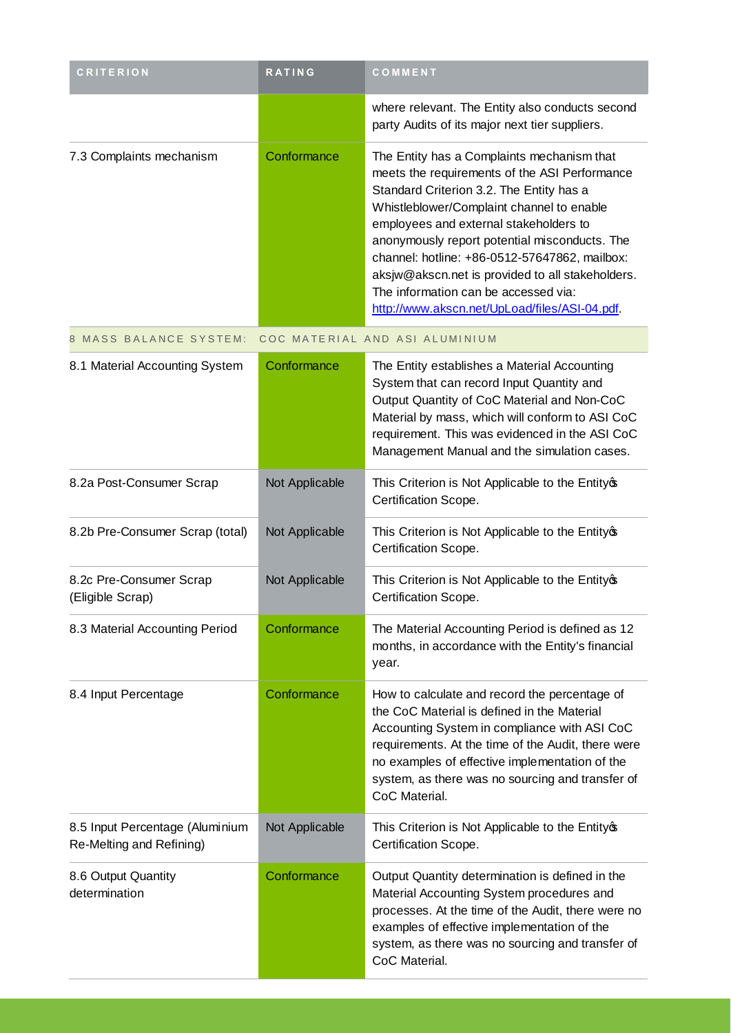| <b>CRITERION</b>                                            | <b>RATING</b>  | COMMENT                                                                                                                                                                                                                                                                                                                                                                                                                                                                       |
|-------------------------------------------------------------|----------------|-------------------------------------------------------------------------------------------------------------------------------------------------------------------------------------------------------------------------------------------------------------------------------------------------------------------------------------------------------------------------------------------------------------------------------------------------------------------------------|
|                                                             |                | where relevant. The Entity also conducts second<br>party Audits of its major next tier suppliers.                                                                                                                                                                                                                                                                                                                                                                             |
| 7.3 Complaints mechanism                                    | Conformance    | The Entity has a Complaints mechanism that<br>meets the requirements of the ASI Performance<br>Standard Criterion 3.2. The Entity has a<br>Whistleblower/Complaint channel to enable<br>employees and external stakeholders to<br>anonymously report potential misconducts. The<br>channel: hotline: +86-0512-57647862, mailbox:<br>aksjw@akscn.net is provided to all stakeholders.<br>The information can be accessed via:<br>http://www.akscn.net/UpLoad/files/ASI-04.pdf. |
| 8 MASS BALANCE SYSTEM:                                      |                | COC MATERIAL AND ASI ALUMINIUM                                                                                                                                                                                                                                                                                                                                                                                                                                                |
| 8.1 Material Accounting System                              | Conformance    | The Entity establishes a Material Accounting<br>System that can record Input Quantity and<br>Output Quantity of CoC Material and Non-CoC<br>Material by mass, which will conform to ASI CoC<br>requirement. This was evidenced in the ASI CoC<br>Management Manual and the simulation cases.                                                                                                                                                                                  |
| 8.2a Post-Consumer Scrap                                    | Not Applicable | This Criterion is Not Applicable to the Entityos<br>Certification Scope.                                                                                                                                                                                                                                                                                                                                                                                                      |
| 8.2b Pre-Consumer Scrap (total)                             | Not Applicable | This Criterion is Not Applicable to the Entityop<br>Certification Scope.                                                                                                                                                                                                                                                                                                                                                                                                      |
| 8.2c Pre-Consumer Scrap<br>(Eligible Scrap)                 | Not Applicable | This Criterion is Not Applicable to the Entitycs<br>Certification Scope.                                                                                                                                                                                                                                                                                                                                                                                                      |
| 8.3 Material Accounting Period                              | Conformance    | The Material Accounting Period is defined as 12<br>months, in accordance with the Entity's financial<br>year.                                                                                                                                                                                                                                                                                                                                                                 |
| 8.4 Input Percentage                                        | Conformance    | How to calculate and record the percentage of<br>the CoC Material is defined in the Material<br>Accounting System in compliance with ASI CoC<br>requirements. At the time of the Audit, there were<br>no examples of effective implementation of the<br>system, as there was no sourcing and transfer of<br>CoC Material.                                                                                                                                                     |
| 8.5 Input Percentage (Aluminium<br>Re-Melting and Refining) | Not Applicable | This Criterion is Not Applicable to the Entity op<br>Certification Scope.                                                                                                                                                                                                                                                                                                                                                                                                     |
| 8.6 Output Quantity<br>determination                        | Conformance    | Output Quantity determination is defined in the<br>Material Accounting System procedures and<br>processes. At the time of the Audit, there were no<br>examples of effective implementation of the<br>system, as there was no sourcing and transfer of<br>CoC Material.                                                                                                                                                                                                        |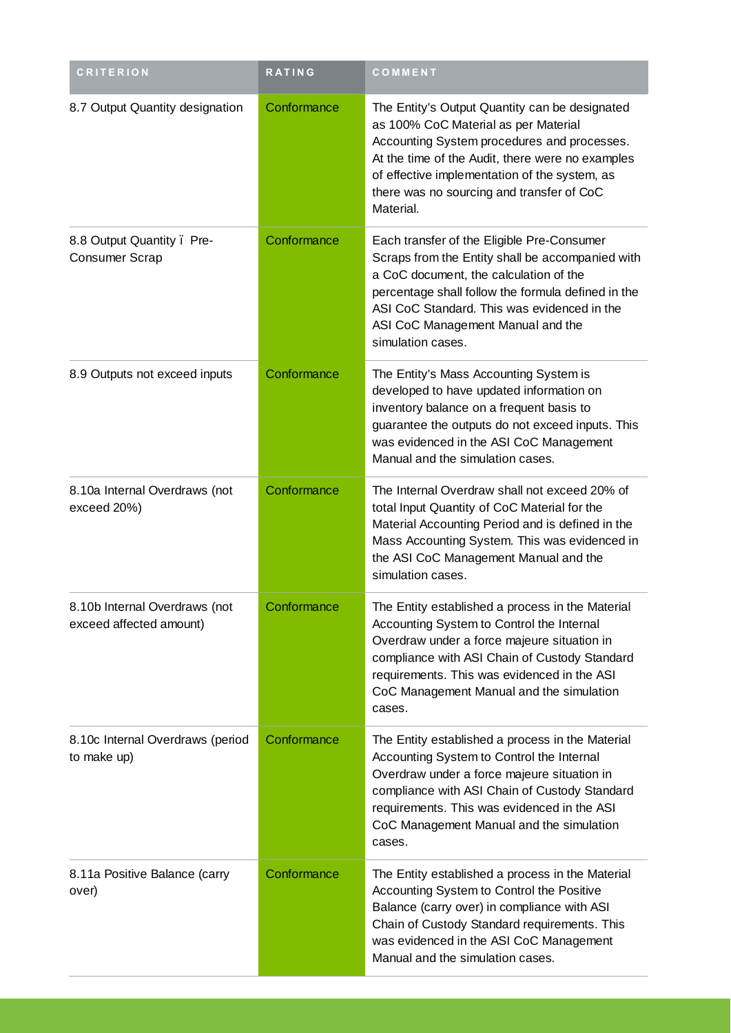| <b>CRITERION</b>                                         | <b>RATING</b> | COMMENT                                                                                                                                                                                                                                                                                                 |
|----------------------------------------------------------|---------------|---------------------------------------------------------------------------------------------------------------------------------------------------------------------------------------------------------------------------------------------------------------------------------------------------------|
| 8.7 Output Quantity designation                          | Conformance   | The Entity's Output Quantity can be designated<br>as 100% CoC Material as per Material<br>Accounting System procedures and processes.<br>At the time of the Audit, there were no examples<br>of effective implementation of the system, as<br>there was no sourcing and transfer of CoC<br>Material.    |
| 8.8 Output Quantity. Pre-<br>Consumer Scrap              | Conformance   | Each transfer of the Eligible Pre-Consumer<br>Scraps from the Entity shall be accompanied with<br>a CoC document, the calculation of the<br>percentage shall follow the formula defined in the<br>ASI CoC Standard. This was evidenced in the<br>ASI CoC Management Manual and the<br>simulation cases. |
| 8.9 Outputs not exceed inputs                            | Conformance   | The Entity's Mass Accounting System is<br>developed to have updated information on<br>inventory balance on a frequent basis to<br>guarantee the outputs do not exceed inputs. This<br>was evidenced in the ASI CoC Management<br>Manual and the simulation cases.                                       |
| 8.10a Internal Overdraws (not<br>exceed 20%)             | Conformance   | The Internal Overdraw shall not exceed 20% of<br>total Input Quantity of CoC Material for the<br>Material Accounting Period and is defined in the<br>Mass Accounting System. This was evidenced in<br>the ASI CoC Management Manual and the<br>simulation cases.                                        |
| 8.10b Internal Overdraws (not<br>exceed affected amount) | Conformance   | The Entity established a process in the Material<br>Accounting System to Control the Internal<br>Overdraw under a force majeure situation in<br>compliance with ASI Chain of Custody Standard<br>requirements. This was evidenced in the ASI<br>CoC Management Manual and the simulation<br>cases.      |
| 8.10c Internal Overdraws (period<br>to make up)          | Conformance   | The Entity established a process in the Material<br>Accounting System to Control the Internal<br>Overdraw under a force majeure situation in<br>compliance with ASI Chain of Custody Standard<br>requirements. This was evidenced in the ASI<br>CoC Management Manual and the simulation<br>cases.      |
| 8.11a Positive Balance (carry<br>over)                   | Conformance   | The Entity established a process in the Material<br>Accounting System to Control the Positive<br>Balance (carry over) in compliance with ASI<br>Chain of Custody Standard requirements. This<br>was evidenced in the ASI CoC Management<br>Manual and the simulation cases.                             |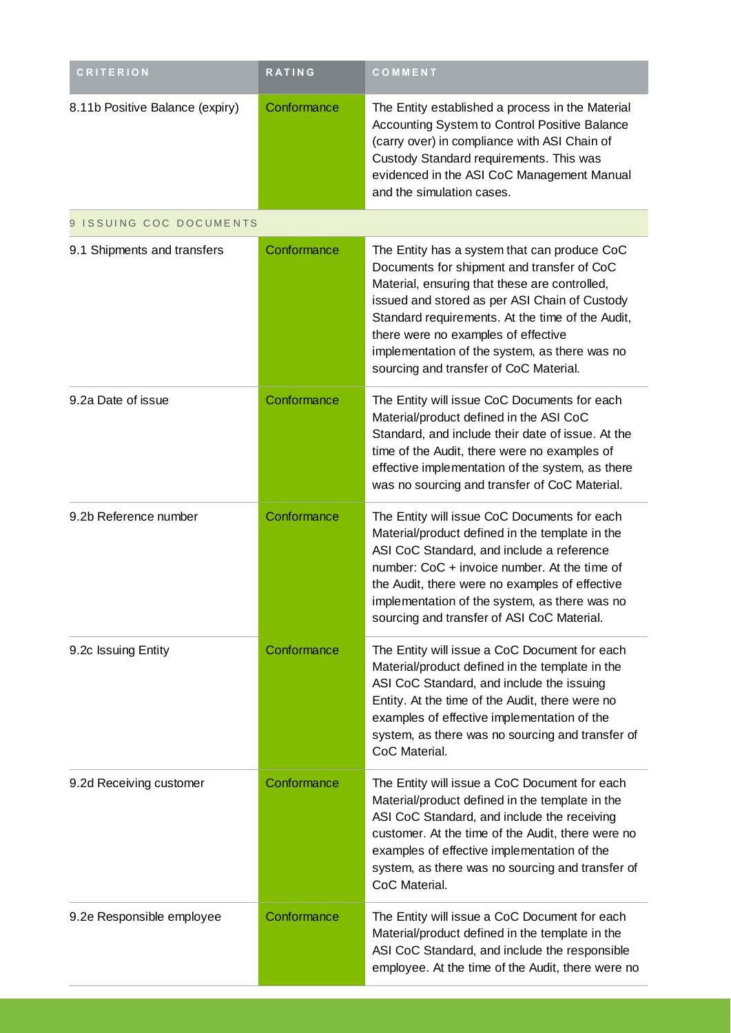| <b>CRITERION</b>                | <b>RATING</b> | COMMENT                                                                                                                                                                                                                                                                                                                                                                            |
|---------------------------------|---------------|------------------------------------------------------------------------------------------------------------------------------------------------------------------------------------------------------------------------------------------------------------------------------------------------------------------------------------------------------------------------------------|
| 8.11b Positive Balance (expiry) | Conformance   | The Entity established a process in the Material<br>Accounting System to Control Positive Balance<br>(carry over) in compliance with ASI Chain of<br>Custody Standard requirements. This was<br>evidenced in the ASI CoC Management Manual<br>and the simulation cases.                                                                                                            |
| 9 ISSUING COC DOCUMENTS         |               |                                                                                                                                                                                                                                                                                                                                                                                    |
| 9.1 Shipments and transfers     | Conformance   | The Entity has a system that can produce CoC<br>Documents for shipment and transfer of CoC<br>Material, ensuring that these are controlled,<br>issued and stored as per ASI Chain of Custody<br>Standard requirements. At the time of the Audit,<br>there were no examples of effective<br>implementation of the system, as there was no<br>sourcing and transfer of CoC Material. |
| 9.2a Date of issue              | Conformance   | The Entity will issue CoC Documents for each<br>Material/product defined in the ASI CoC<br>Standard, and include their date of issue. At the<br>time of the Audit, there were no examples of<br>effective implementation of the system, as there<br>was no sourcing and transfer of CoC Material.                                                                                  |
| 9.2b Reference number           | Conformance   | The Entity will issue CoC Documents for each<br>Material/product defined in the template in the<br>ASI CoC Standard, and include a reference<br>number: CoC + invoice number. At the time of<br>the Audit, there were no examples of effective<br>implementation of the system, as there was no<br>sourcing and transfer of ASI CoC Material.                                      |
| 9.2c Issuing Entity             | Conformance   | The Entity will issue a CoC Document for each<br>Material/product defined in the template in the<br>ASI CoC Standard, and include the issuing<br>Entity. At the time of the Audit, there were no<br>examples of effective implementation of the<br>system, as there was no sourcing and transfer of<br>CoC Material.                                                               |
| 9.2d Receiving customer         | Conformance   | The Entity will issue a CoC Document for each<br>Material/product defined in the template in the<br>ASI CoC Standard, and include the receiving<br>customer. At the time of the Audit, there were no<br>examples of effective implementation of the<br>system, as there was no sourcing and transfer of<br>CoC Material.                                                           |
| 9.2e Responsible employee       | Conformance   | The Entity will issue a CoC Document for each<br>Material/product defined in the template in the<br>ASI CoC Standard, and include the responsible<br>employee. At the time of the Audit, there were no                                                                                                                                                                             |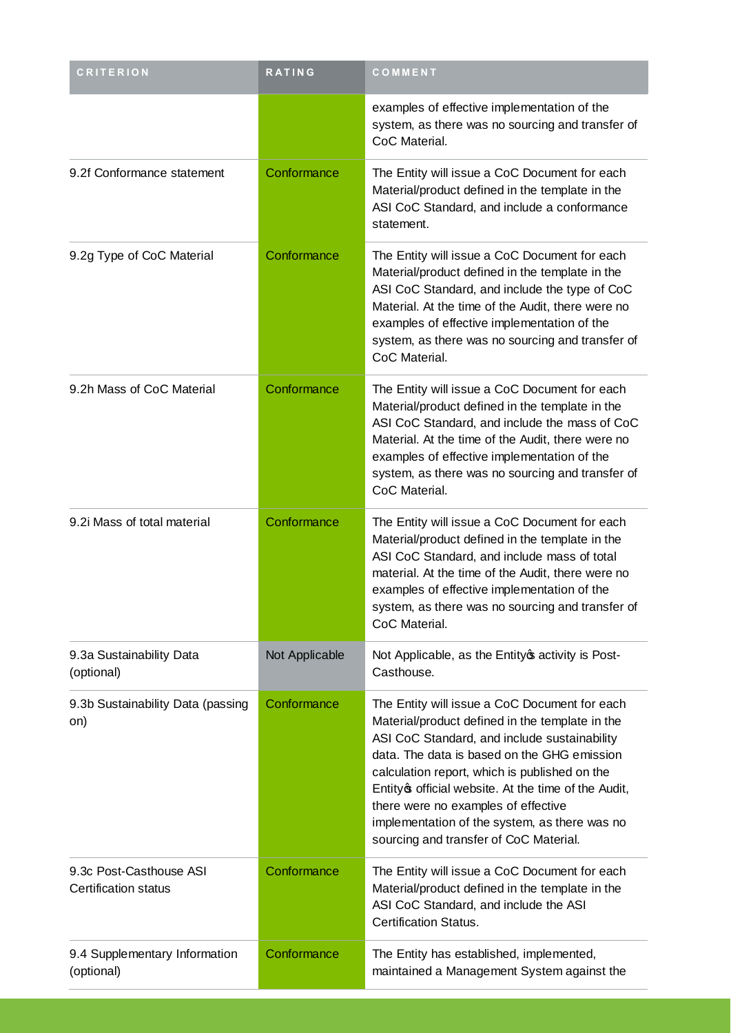| <b>CRITERION</b>                                       | <b>RATING</b>  | COMMENT                                                                                                                                                                                                                                                                                                                                                                                                                                  |
|--------------------------------------------------------|----------------|------------------------------------------------------------------------------------------------------------------------------------------------------------------------------------------------------------------------------------------------------------------------------------------------------------------------------------------------------------------------------------------------------------------------------------------|
|                                                        |                | examples of effective implementation of the<br>system, as there was no sourcing and transfer of<br>CoC Material.                                                                                                                                                                                                                                                                                                                         |
| 9.2f Conformance statement                             | Conformance    | The Entity will issue a CoC Document for each<br>Material/product defined in the template in the<br>ASI CoC Standard, and include a conformance<br>statement.                                                                                                                                                                                                                                                                            |
| 9.2g Type of CoC Material                              | Conformance    | The Entity will issue a CoC Document for each<br>Material/product defined in the template in the<br>ASI CoC Standard, and include the type of CoC<br>Material. At the time of the Audit, there were no<br>examples of effective implementation of the<br>system, as there was no sourcing and transfer of<br>CoC Material.                                                                                                               |
| 9.2h Mass of CoC Material                              | Conformance    | The Entity will issue a CoC Document for each<br>Material/product defined in the template in the<br>ASI CoC Standard, and include the mass of CoC<br>Material. At the time of the Audit, there were no<br>examples of effective implementation of the<br>system, as there was no sourcing and transfer of<br>CoC Material.                                                                                                               |
| 9.2i Mass of total material                            | Conformance    | The Entity will issue a CoC Document for each<br>Material/product defined in the template in the<br>ASI CoC Standard, and include mass of total<br>material. At the time of the Audit, there were no<br>examples of effective implementation of the<br>system, as there was no sourcing and transfer of<br>CoC Material.                                                                                                                 |
| 9.3a Sustainability Data<br>(optional)                 | Not Applicable | Not Applicable, as the Entity of activity is Post-<br>Casthouse.                                                                                                                                                                                                                                                                                                                                                                         |
| 9.3b Sustainability Data (passing<br>on)               | Conformance    | The Entity will issue a CoC Document for each<br>Material/product defined in the template in the<br>ASI CoC Standard, and include sustainability<br>data. The data is based on the GHG emission<br>calculation report, which is published on the<br>Entity official website. At the time of the Audit,<br>there were no examples of effective<br>implementation of the system, as there was no<br>sourcing and transfer of CoC Material. |
| 9.3c Post-Casthouse ASI<br><b>Certification status</b> | Conformance    | The Entity will issue a CoC Document for each<br>Material/product defined in the template in the<br>ASI CoC Standard, and include the ASI<br><b>Certification Status.</b>                                                                                                                                                                                                                                                                |
| 9.4 Supplementary Information<br>(optional)            | Conformance    | The Entity has established, implemented,<br>maintained a Management System against the                                                                                                                                                                                                                                                                                                                                                   |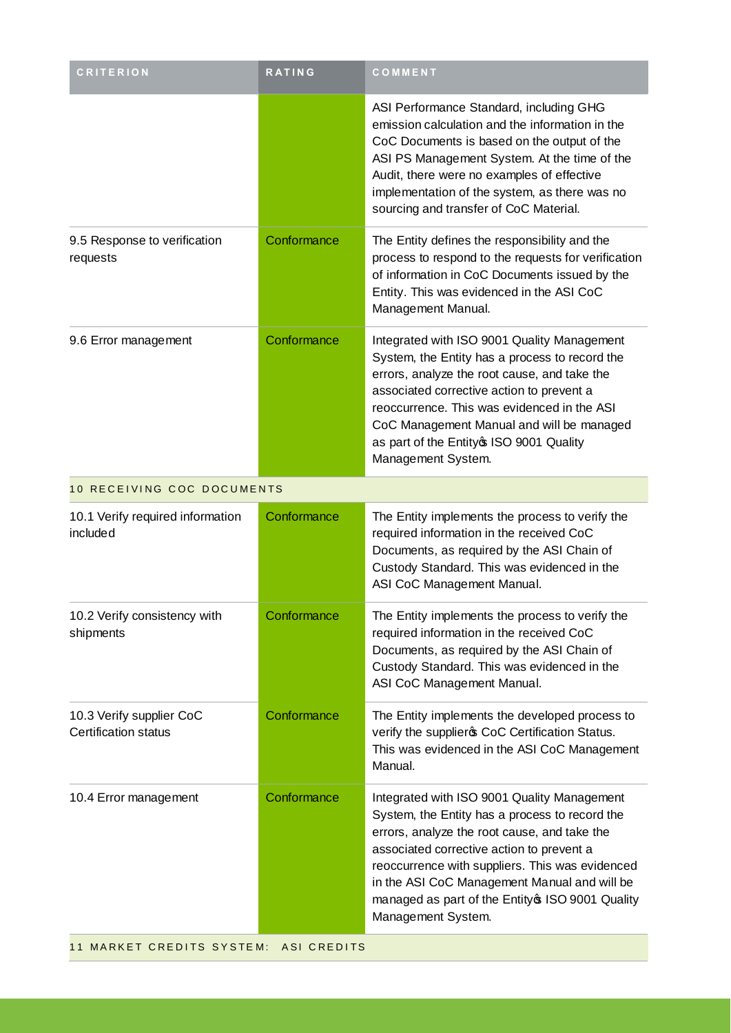| <b>RATING</b>              | COMMENT                                                                                                                                                                                                                                                                                                                                                                  |
|----------------------------|--------------------------------------------------------------------------------------------------------------------------------------------------------------------------------------------------------------------------------------------------------------------------------------------------------------------------------------------------------------------------|
|                            | ASI Performance Standard, including GHG<br>emission calculation and the information in the<br>CoC Documents is based on the output of the<br>ASI PS Management System. At the time of the<br>Audit, there were no examples of effective<br>implementation of the system, as there was no<br>sourcing and transfer of CoC Material.                                       |
| Conformance                | The Entity defines the responsibility and the<br>process to respond to the requests for verification<br>of information in CoC Documents issued by the<br>Entity. This was evidenced in the ASI CoC<br>Management Manual.                                                                                                                                                 |
| Conformance                | Integrated with ISO 9001 Quality Management<br>System, the Entity has a process to record the<br>errors, analyze the root cause, and take the<br>associated corrective action to prevent a<br>reoccurrence. This was evidenced in the ASI<br>CoC Management Manual and will be managed<br>as part of the Entity \$ ISO 9001 Quality<br>Management System.                |
| 10 RECEIVING COC DOCUMENTS |                                                                                                                                                                                                                                                                                                                                                                          |
| Conformance                | The Entity implements the process to verify the<br>required information in the received CoC<br>Documents, as required by the ASI Chain of<br>Custody Standard. This was evidenced in the<br>ASI CoC Management Manual.                                                                                                                                                   |
| Conformance                | The Entity implements the process to verify the<br>required information in the received CoC<br>Documents, as required by the ASI Chain of<br>Custody Standard. This was evidenced in the<br>ASI CoC Management Manual.                                                                                                                                                   |
| Conformance                | The Entity implements the developed process to<br>verify the supplier of CoC Certification Status.<br>This was evidenced in the ASI CoC Management<br>Manual.                                                                                                                                                                                                            |
| Conformance                | Integrated with ISO 9001 Quality Management<br>System, the Entity has a process to record the<br>errors, analyze the root cause, and take the<br>associated corrective action to prevent a<br>reoccurrence with suppliers. This was evidenced<br>in the ASI CoC Management Manual and will be<br>managed as part of the Entity \$ ISO 9001 Quality<br>Management System. |
|                            |                                                                                                                                                                                                                                                                                                                                                                          |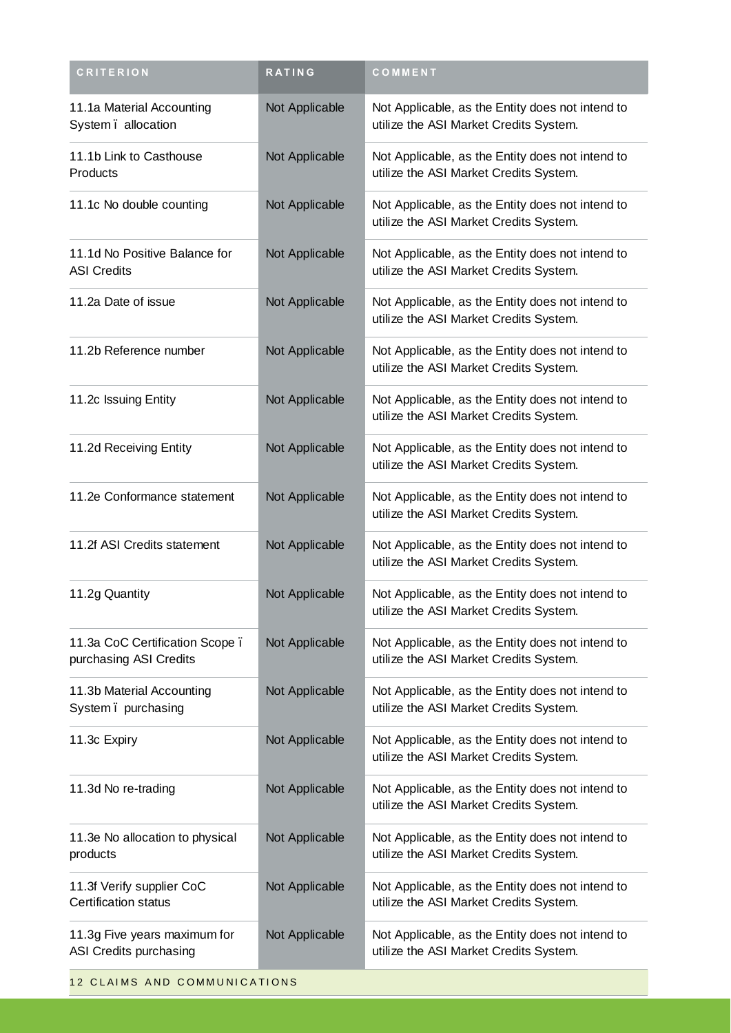| <b>CRITERION</b>                                         | RATING         | COMMENT                                                                                    |
|----------------------------------------------------------|----------------|--------------------------------------------------------------------------------------------|
| 11.1a Material Accounting<br>System. allocation          | Not Applicable | Not Applicable, as the Entity does not intend to<br>utilize the ASI Market Credits System. |
| 11.1b Link to Casthouse<br>Products                      | Not Applicable | Not Applicable, as the Entity does not intend to<br>utilize the ASI Market Credits System. |
| 11.1c No double counting                                 | Not Applicable | Not Applicable, as the Entity does not intend to<br>utilize the ASI Market Credits System. |
| 11.1d No Positive Balance for<br><b>ASI Credits</b>      | Not Applicable | Not Applicable, as the Entity does not intend to<br>utilize the ASI Market Credits System. |
| 11.2a Date of issue                                      | Not Applicable | Not Applicable, as the Entity does not intend to<br>utilize the ASI Market Credits System. |
| 11.2b Reference number                                   | Not Applicable | Not Applicable, as the Entity does not intend to<br>utilize the ASI Market Credits System. |
| 11.2c Issuing Entity                                     | Not Applicable | Not Applicable, as the Entity does not intend to<br>utilize the ASI Market Credits System. |
| 11.2d Receiving Entity                                   | Not Applicable | Not Applicable, as the Entity does not intend to<br>utilize the ASI Market Credits System. |
| 11.2e Conformance statement                              | Not Applicable | Not Applicable, as the Entity does not intend to<br>utilize the ASI Market Credits System. |
| 11.2f ASI Credits statement                              | Not Applicable | Not Applicable, as the Entity does not intend to<br>utilize the ASI Market Credits System. |
| 11.2g Quantity                                           | Not Applicable | Not Applicable, as the Entity does not intend to<br>utilize the ASI Market Credits System. |
| 11.3a CoC Certification Scope.<br>purchasing ASI Credits | Not Applicable | Not Applicable, as the Entity does not intend to<br>utilize the ASI Market Credits System. |
| 11.3b Material Accounting<br>System. purchasing          | Not Applicable | Not Applicable, as the Entity does not intend to<br>utilize the ASI Market Credits System. |
| 11.3c Expiry                                             | Not Applicable | Not Applicable, as the Entity does not intend to<br>utilize the ASI Market Credits System. |
| 11.3d No re-trading                                      | Not Applicable | Not Applicable, as the Entity does not intend to<br>utilize the ASI Market Credits System. |
| 11.3e No allocation to physical<br>products              | Not Applicable | Not Applicable, as the Entity does not intend to<br>utilize the ASI Market Credits System. |
| 11.3f Verify supplier CoC<br><b>Certification status</b> | Not Applicable | Not Applicable, as the Entity does not intend to<br>utilize the ASI Market Credits System. |
| 11.3g Five years maximum for<br>ASI Credits purchasing   | Not Applicable | Not Applicable, as the Entity does not intend to<br>utilize the ASI Market Credits System. |